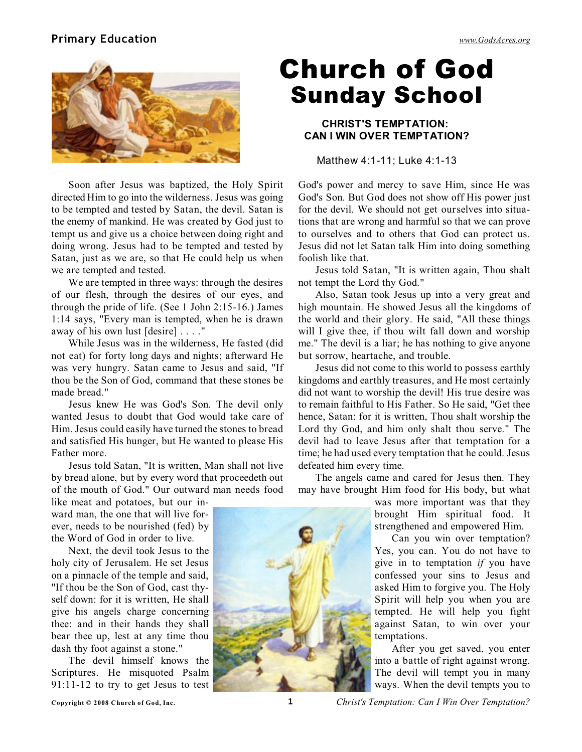## **Primary Education** *[www.GodsAcres.org](http://godsacres.org)*



Soon after Jesus was baptized, the Holy Spirit directed Him to go into the wilderness. Jesus was going to be tempted and tested by Satan, the devil. Satan is the enemy of mankind. He was created by God just to tempt us and give us a choice between doing right and doing wrong. Jesus had to be tempted and tested by Satan, just as we are, so that He could help us when we are tempted and tested.

We are tempted in three ways: through the desires of our flesh, through the desires of our eyes, and through the pride of life. (See 1 John 2:15-16.) James 1:14 says, "Every man is tempted, when he is drawn away of his own lust [desire] . . . ."

While Jesus was in the wilderness, He fasted (did not eat) for forty long days and nights; afterward He was very hungry. Satan came to Jesus and said, "If thou be the Son of God, command that these stones be made bread."

Jesus knew He was God's Son. The devil only wanted Jesus to doubt that God would take care of Him. Jesus could easily have turned the stones to bread and satisfied His hunger, but He wanted to please His Father more.

Jesus told Satan, "It is written, Man shall not live by bread alone, but by every word that proceedeth out of the mouth of God." Our outward man needs food

like meat and potatoes, but our inward man, the one that will live forever, needs to be nourished (fed) by the Word of God in order to live.

Next, the devil took Jesus to the holy city of Jerusalem. He set Jesus on a pinnacle of the temple and said, "If thou be the Son of God, cast thyself down: for it is written, He shall give his angels charge concerning thee: and in their hands they shall bear thee up, lest at any time thou dash thy foot against a stone."

The devil himself knows the Scriptures. He misquoted Psalm 91:11-12 to try to get Jesus to test

## Church of God Sunday School

## **CHRIST'S TEMPTATION: CAN I WIN OVER TEMPTATION?**

Matthew 4:1-11; Luke 4:1-13

God's power and mercy to save Him, since He was God's Son. But God does not show off His power just for the devil. We should not get ourselves into situations that are wrong and harmful so that we can prove to ourselves and to others that God can protect us. Jesus did not let Satan talk Him into doing something foolish like that.

Jesus told Satan, "It is written again, Thou shalt not tempt the Lord thy God."

Also, Satan took Jesus up into a very great and high mountain. He showed Jesus all the kingdoms of the world and their glory. He said, "All these things will I give thee, if thou wilt fall down and worship me." The devil is a liar; he has nothing to give anyone but sorrow, heartache, and trouble.

Jesus did not come to this world to possess earthly kingdoms and earthly treasures, and He most certainly did not want to worship the devil! His true desire was to remain faithful to His Father. So He said, "Get thee hence, Satan: for it is written, Thou shalt worship the Lord thy God, and him only shalt thou serve." The devil had to leave Jesus after that temptation for a time; he had used every temptation that he could. Jesus defeated him every time.

The angels came and cared for Jesus then. They may have brought Him food for His body, but what

> was more important was that they brought Him spiritual food. It strengthened and empowered Him.

> Can you win over temptation? Yes, you can. You do not have to give in to temptation *if* you have confessed your sins to Jesus and asked Him to forgive you. The Holy Spirit will help you when you are tempted. He will help you fight against Satan, to win over your temptations.

> After you get saved, you enter into a battle of right against wrong. The devil will tempt you in many ways. When the devil tempts you to